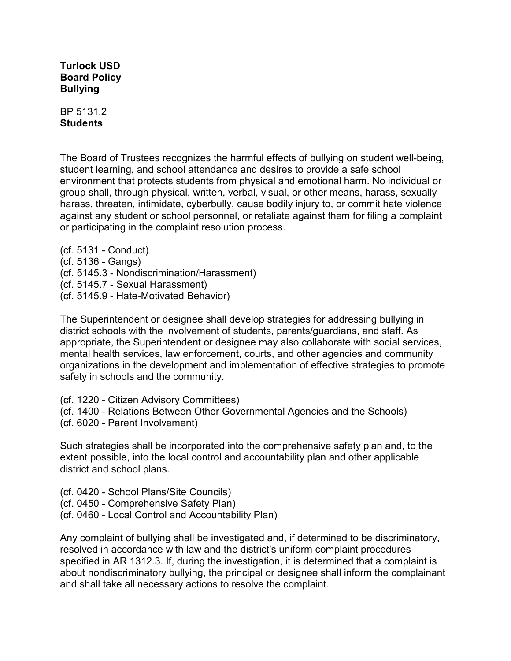**Turlock USD Board Policy Bullying**

BP 5131.2 **Students**

The Board of Trustees recognizes the harmful effects of bullying on student well-being, student learning, and school attendance and desires to provide a safe school environment that protects students from physical and emotional harm. No individual or group shall, through physical, written, verbal, visual, or other means, harass, sexually harass, threaten, intimidate, cyberbully, cause bodily injury to, or commit hate violence against any student or school personnel, or retaliate against them for filing a complaint or participating in the complaint resolution process.

(cf. 5131 - Conduct) (cf. 5136 - Gangs) (cf. 5145.3 - Nondiscrimination/Harassment) (cf. 5145.7 - Sexual Harassment) (cf. 5145.9 - Hate-Motivated Behavior)

The Superintendent or designee shall develop strategies for addressing bullying in district schools with the involvement of students, parents/guardians, and staff. As appropriate, the Superintendent or designee may also collaborate with social services, mental health services, law enforcement, courts, and other agencies and community organizations in the development and implementation of effective strategies to promote safety in schools and the community.

(cf. 1220 - Citizen Advisory Committees)

(cf. 1400 - Relations Between Other Governmental Agencies and the Schools)

(cf. 6020 - Parent Involvement)

Such strategies shall be incorporated into the comprehensive safety plan and, to the extent possible, into the local control and accountability plan and other applicable district and school plans.

(cf. 0420 - School Plans/Site Councils)

(cf. 0450 - Comprehensive Safety Plan)

(cf. 0460 - Local Control and Accountability Plan)

Any complaint of bullying shall be investigated and, if determined to be discriminatory, resolved in accordance with law and the district's uniform complaint procedures specified in AR 1312.3. If, during the investigation, it is determined that a complaint is about nondiscriminatory bullying, the principal or designee shall inform the complainant and shall take all necessary actions to resolve the complaint.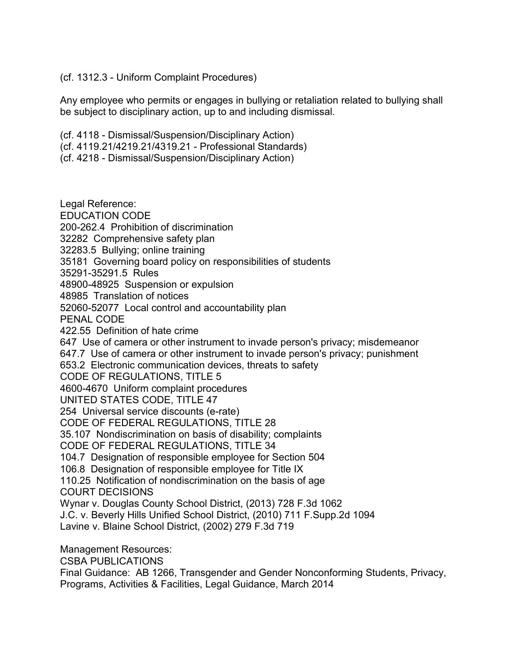## (cf. 1312.3 - Uniform Complaint Procedures)

Any employee who permits or engages in bullying or retaliation related to bullying shall be subject to disciplinary action, up to and including dismissal.

(cf. 4118 - Dismissal/Suspension/Disciplinary Action)

- (cf. 4119.21/4219.21/4319.21 Professional Standards)
- (cf. 4218 Dismissal/Suspension/Disciplinary Action)

Legal Reference: EDUCATION CODE 200-262.4 Prohibition of discrimination 32282 Comprehensive safety plan 32283.5 Bullying; online training 35181 Governing board policy on responsibilities of students 35291-35291.5 Rules 48900-48925 Suspension or expulsion 48985 Translation of notices 52060-52077 Local control and accountability plan PENAL CODE 422.55 Definition of hate crime 647 Use of camera or other instrument to invade person's privacy; misdemeanor 647.7 Use of camera or other instrument to invade person's privacy; punishment 653.2 Electronic communication devices, threats to safety CODE OF REGULATIONS, TITLE 5 4600-4670 Uniform complaint procedures UNITED STATES CODE, TITLE 47 254 Universal service discounts (e-rate) CODE OF FEDERAL REGULATIONS, TITLE 28 35.107 Nondiscrimination on basis of disability; complaints CODE OF FEDERAL REGULATIONS, TITLE 34 104.7 Designation of responsible employee for Section 504 106.8 Designation of responsible employee for Title IX 110.25 Notification of nondiscrimination on the basis of age COURT DECISIONS Wynar v. Douglas County School District, (2013) 728 F.3d 1062 J.C. v. Beverly Hills Unified School District, (2010) 711 F.Supp.2d 1094 Lavine v. Blaine School District, (2002) 279 F.3d 719 Management Resources: CSBA PUBLICATIONS

Final Guidance: AB 1266, Transgender and Gender Nonconforming Students, Privacy, Programs, Activities & Facilities, Legal Guidance, March 2014